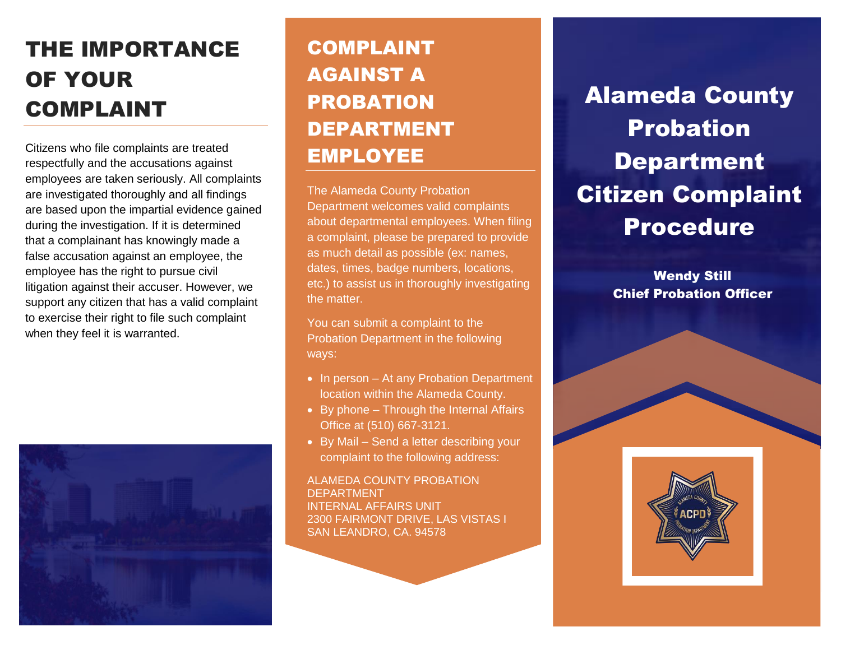## THE IMPORTANCE OF YOUR COMPLAINT

Citizens who file complaints are treated respectfully and the accusations against employees are taken seriously. All complaints are investigated thoroughly and all findings are based upon the impartial evidence gained during the investigation. If it is determined that a complainant has knowingly made a false accusation against an employee, the employee has the right to pursue civil litigation against their accuser. However, we support any citizen that has a valid complaint to exercise their right to file such complaint when they feel it is warranted.



#### COMPLAINT AGAINST A PROBATION DEPARTMENT EMPLOYEE

The Alameda County Probation Department welcomes valid complaints about departmental employees. When filing a complaint, please be prepared to provide as much detail as possible (ex: names, dates, times, badge numbers, locations, etc.) to assist us in thoroughly investigating the matter.

You can submit a complaint to the Probation Department in the following ways:

- In person At any Probation Department location within the Alameda County.
- By phone Through the Internal Affairs Office at (510) 667-3121.
- By Mail Send a letter describing your complaint to the following address:

ALAMEDA COUNTY PROBATION DEPARTMENT INTERNAL AFFAIRS UNIT 2300 FAIRMONT DRIVE, LAS VISTAS I SAN LEANDRO, CA. 94578

# Alameda County Probation Department Citizen Complaint Procedure

Wendy Still Chief Probation Officer